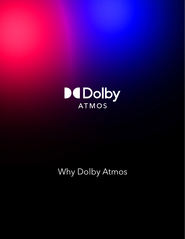

# Why Dolby Atmos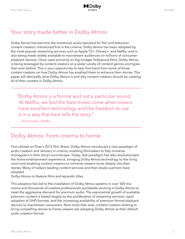# Your story made better in Dolby Atmos

Dolby Atmos has become the immersive audio standard for film and television content creation. Introduced first in the cinema, Dolby Atmos has been adopted by the most popular streaming services such as Apple TV+, Disney+, and Netflix, and is also being made widely available to mainstream audiences on millions of consumer playback devices. Once used primarily on big-budget Hollywood films, Dolby Atmos is being leveraged by content creators on a wider variety of content genres and types than ever before. This is your opportunity to hear first-hand from some of those content creators on how Dolby Atmos has enabled them to enhance their stories. This paper will demystify what Dolby Atmos is and why content creators should be creating all of their content in Dolby Atmos.

"Dolby Atmos is a format and not a particular sound. At Netflix, we feel the best mixes come when mixers have excellent technology and the freedom to use it in a way that best tells the story."

— Scott Kramer | Netflix

## Dolby Atmos: From cinema to home

First utilized on Pixar's 2012 film, *Brave,* Dolby Atmos introduced a new paradigm of audio creation and delivery in cinema, enabling filmmakers to fully immerse moviegoers in their story's soundscape. Today, that paradigm has also revolutionized the home entertainment experience, bringing Dolby Atmos technology to the living room and enabling content creators to immerse viewers more deeply into their stories. Many of today's leading content services and their studio partners have adopted

Dolby Atmos on feature films and episodic titles.

This adoption has led to the installation of Dolby Atmos systems in over 500 mix rooms and thousands of creative professionals worldwide working in Dolby Atmos to meet the aggressive demand for premium audio. The exponential growth of available premium content is fueled largely by the proliferation of streaming services, rapid adoption of UHD formats, and the increasing availability of premium format playback devices to mainstream consumers. Now more than ever, content creators looking to bring compelling stories to home viewers are adopting Dolby Atmos as their default audio-creation format.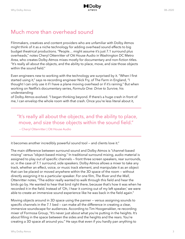

## Much more than overhead sound

Filmmakers, creatives and content providers who are unfamiliar with Dolby Atmos might think of it as a niche technology for adding overhead sound effects to big budget theatrical productions. "People… might assume it's just 7.1 surround plus overheads," notes Cheryl Ottenritter of Ott House Audio in Washington DC Metro Area, who creates Dolby Atmos mixes mostly for documentary and non-fiction titles. "It's really all about the objects, and the ability to place, move, and size those objects within the sound field."

Even engineers new to working with the technology are surprised by it. "When I first started using it," says re-recording engineer Nick Fry, of The Farm in England, "I thought I can only use it if I have a plane moving overhead or if it's raining." But when working on Netflix's documentary series, *Formula One: Drive to Survive,* his understanding

of Dolby Atmos evolved. "I began thinking beyond. If there's a huge crash in front of me, I can envelop the whole room with that crash. Once you're less literal about it,

"It's really all about the objects, and the ability to place, move, and size those objects within the sound field."

— Cheryl Ottenritter | Ott House Audio

it becomes another incredibly powerful sound tool — and clients love it."

The main difference between surround sound and Dolby Atmos is "channel-based mixing" versus "object-based mixing." In traditional surround mixing, audio material is assigned to play out of specific channels — front three screen speakers, rear surrounds, or, in the case of 7.1 surround, side speakers. Dolby Atmos allows a mixer to take any track, whether an effect, voice, or music track element, and manipulate it as an object that can be placed or moved anywhere within the 3D space of the room — without directly assigning it to a particular speaker. For one film, *The River and the Wall*, Ottenritter notes, "The editor really wanted to walk through this field and hear the birds go by. He wanted to hear that bird right there, because that's how it was when he recorded it in the field. Instead of 'Oh, I hear it coming out of my left speaker,' we were able to create an immersive sound experience like he was back in the field again."

Moving objects around in 3D space using the panner — versus assigning sounds to specific channels in the 7.1 bed — can make all the difference in creating a clear, immersive soundscape for audiences. According to Tim Hoogenakker, re-recording mixer of Formosa Group, "It's never just about what you're putting in the heights. It's about filling in the space between the sides and the heights and the rears. You're creating a 3D space all around you." He says that even if you hardly pan anything to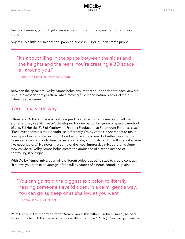

the top channels, you still get a large amount of depth by opening up the sides and lifting

objects up a little bit. In addition, panning audio in 5.1 or 7.1 can create jumps

"It's about filling in the space between the sides and the heights and the rears. You're creating a 3D space all around you."

— Tim Hoogenakker | Formosa Group

between the speakers. Dolby Atmos helps ensure that sounds adapt to each viewer's unique playback configuration, while moving fluidly and naturally around their listening environment.

#### Your mix, your way

Ultimately, Dolby Atmos is a tool designed to enable content creators to tell their stories as they see fit. It wasn't developed for one particular genre or specific method of use. Ed Hoxsie, SVP of Worldwide Product Production at Paramount Pictures, says, "Each mixer controls their paintbrush differently. Dolby Atmos is not meant to make one type of experience, such as a bombastic overhead mix, but rather provide the mixer variable controls to trim, balance, separate, and push hard or soft in aural spaces like never before." He notes that some of the most impressive mixes are on quieter movies where Dolby Atmos helps create the ambiance of a scene instead of controlling it outright.

With Dolby Atmos, mixers can give different objects specific sizes to create contrast. "It allows you to take advantage of the full dynamics of cinema sound," explains

"You can go from the biggest explosion to literally hearing someone's eyelid open, in a calm, gentle way. You can go as deep or as shallow as you want."

— Adam Daniel | Point1Post

Point1Post (UK) re-recording mixer Adam Daniel (his father, Graham Daniel, helped to build the first Dolby Stereo cinema installations in the 1970s.) "You can go from the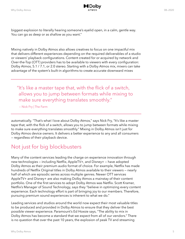

biggest explosion to literally hearing someone's eyelid open, in a calm, gentle way. You can go as deep or as shallow as you want."

Mixing natively in Dolby Atmos also allows creatives to focus on one impactful mix that delivers different experiences depending on the required deliverables of a studio or viewers' playback configurations. Content created for or acquired by network and Over-the-Top (OTT) providers has to be available to viewers with every configuration: Dolby Atmos, 5.1 / 7.1, or 2.0 stereo. Starting with a Dolby Atmos mix, mixers can take advantage of the system's built-in algorithms to create accurate downward mixes

"It's like a master tape that, with the flick of a switch, allows you to jump between formats while mixing to make sure everything translates smoothly."

— Nick Fry | The Farm

automatically. "That's what I love about Dolby Atmos," says Nick Fry, "It's like a master tape that, with the flick of a switch, allows you to jump between formats while mixing to make sure everything translates smoothly." Mixing in Dolby Atmos isn't just for Dolby Atmos device owners. It delivers a better experience to any and all consumers — regardless of their playback device.

## Not just for big blockbusters

Many of the content services leading the charge on experience innovation through new technologies — including Netflix, AppleTV+, and Disney+ — have adopted Dolby Atmos as their premium audio format of choice. For example, Netflix has made hundreds of Netflix Original titles in Dolby Atmos available to their viewers — nearly half of which are episodic series across multiple genres. Newer OTT services AppleTV+ and Disney+ are also making Dolby Atmos a mainstay of their content portfolio. One of the first services to adopt Dolby Atmos was Netflix. Scott Kramer, Netflix's Manager of Sound Technology, says they "believe in optimizing every content experience. Each technology effort is part of bringing joy to our members. Therefore, pursuing premium sound experiences is inherent to what we do."

Leading services and studios around the world now expect their most valuable titles to be produced and provided in Dolby Atmos to ensure that they deliver the best possible viewer experience. Paramount's Ed Hoxsie says, "The ability to mix in Dolby Atmos has become a standard that we expect from all of our vendors." There is no question that over the past 10 years, the explosion of peak TV and streaming